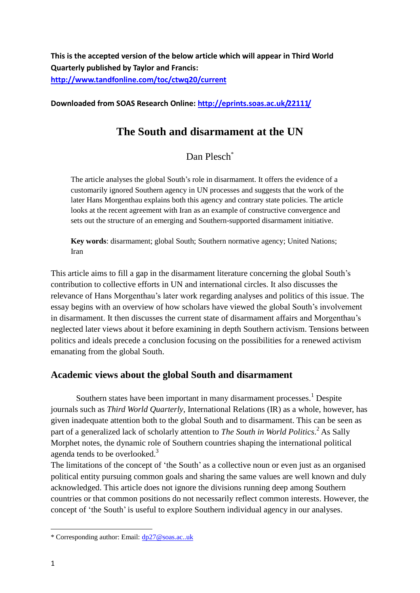**This is the accepted version of the below article which will appear in Third World Quarterly published by Taylor and Francis: <http://www.tandfonline.com/toc/ctwq20/current>**

## **Downloaded from SOAS Research Online:<http://eprints.soas.ac.uk/22111/>**

# **The South and disarmament at the UN**

## Dan Plesch\*

The article analyses the global South's role in disarmament. It offers the evidence of a customarily ignored Southern agency in UN processes and suggests that the work of the later Hans Morgenthau explains both this agency and contrary state policies. The article looks at the recent agreement with Iran as an example of constructive convergence and sets out the structure of an emerging and Southern-supported disarmament initiative.

**Key words**: disarmament; global South; Southern normative agency; United Nations; Iran

This article aims to fill a gap in the disarmament literature concerning the global South's contribution to collective efforts in UN and international circles. It also discusses the relevance of Hans Morgenthau's later work regarding analyses and politics of this issue. The essay begins with an overview of how scholars have viewed the global South's involvement in disarmament. It then discusses the current state of disarmament affairs and Morgenthau's neglected later views about it before examining in depth Southern activism. Tensions between politics and ideals precede a conclusion focusing on the possibilities for a renewed activism emanating from the global South.

## **Academic views about the global South and disarmament**

Southern states have been important in many disarmament processes.<sup>1</sup> Despite journals such as *Third World Quarterly*, International Relations (IR) as a whole, however, has given inadequate attention both to the global South and to disarmament. This can be seen as part of a generalized lack of scholarly attention to *The South in World Politics*. <sup>2</sup> As Sally Morphet notes, the dynamic role of Southern countries shaping the international political agenda tends to be overlooked.<sup>3</sup>

The limitations of the concept of 'the South' as a collective noun or even just as an organised political entity pursuing common goals and sharing the same values are well known and duly acknowledged. This article does not ignore the divisions running deep among Southern countries or that common positions do not necessarily reflect common interests. However, the concept of 'the South' is useful to explore Southern individual agency in our analyses.

1

<sup>\*</sup> Corresponding author: Email: [dp27@soas.ac..uk](mailto:dp27@soas.ac..uk)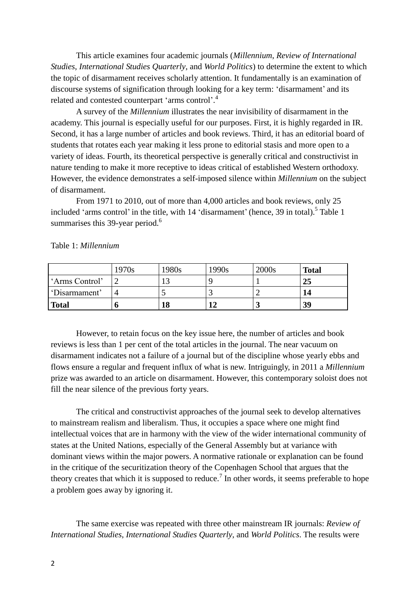This article examines four academic journals (*Millennium*, *Review of International Studies*, *International Studies Quarterly*, and *World Politics*) to determine the extent to which the topic of disarmament receives scholarly attention. It fundamentally is an examination of discourse systems of signification through looking for a key term: 'disarmament' and its related and contested counterpart 'arms control'.<sup>4</sup>

A survey of the *Millennium* illustrates the near invisibility of disarmament in the academy. This journal is especially useful for our purposes. First, it is highly regarded in IR. Second, it has a large number of articles and book reviews. Third, it has an editorial board of students that rotates each year making it less prone to editorial stasis and more open to a variety of ideas. Fourth, its theoretical perspective is generally critical and constructivist in nature tending to make it more receptive to ideas critical of established Western orthodoxy. However, the evidence demonstrates a self-imposed silence within *Millennium* on the subject of disarmament.

From 1971 to 2010, out of more than 4,000 articles and book reviews, only 25 included 'arms control' in the title, with 14 'disarmament' (hence, 39 in total).<sup>5</sup> Table 1 summarises this 39-year period.<sup>6</sup>

|                | 1970s | 1980s | 1990s | 2000s | <b>Total</b>   |
|----------------|-------|-------|-------|-------|----------------|
| 'Arms Control' |       |       |       |       | 25             |
| 'Disarmament'  |       |       |       |       | $\overline{4}$ |
| <b>Total</b>   |       | 18    |       |       | 39             |

Table 1: *Millennium*

However, to retain focus on the key issue here, the number of articles and book reviews is less than 1 per cent of the total articles in the journal. The near vacuum on disarmament indicates not a failure of a journal but of the discipline whose yearly ebbs and flows ensure a regular and frequent influx of what is new. Intriguingly, in 2011 a *Millennium* prize was awarded to an article on disarmament. However, this contemporary soloist does not fill the near silence of the previous forty years.

The critical and constructivist approaches of the journal seek to develop alternatives to mainstream realism and liberalism. Thus, it occupies a space where one might find intellectual voices that are in harmony with the view of the wider international community of states at the United Nations, especially of the General Assembly but at variance with dominant views within the major powers. A normative rationale or explanation can be found in the critique of the securitization theory of the Copenhagen School that argues that the theory creates that which it is supposed to reduce.<sup>7</sup> In other words, it seems preferable to hope a problem goes away by ignoring it.

The same exercise was repeated with three other mainstream IR journals: *Review of International Studies*, *International Studies Quarterly*, and *World Politics*. The results were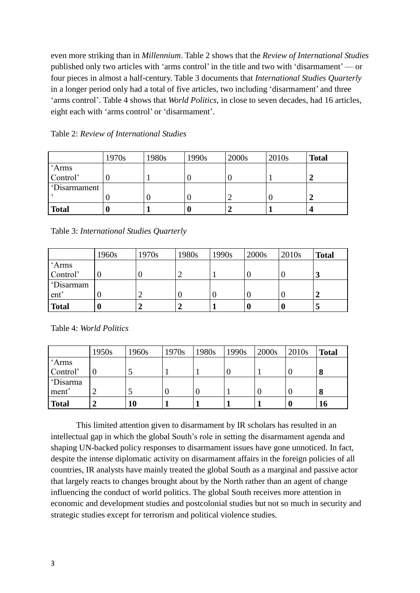even more striking than in *Millennium*. Table 2 shows that the *Review of International Studies*  published only two articles with 'arms control' in the title and two with 'disarmament' — or four pieces in almost a half-century. Table 3 documents that *International Studies Quarterly*  in a longer period only had a total of five articles, two including 'disarmament' and three ‗arms control'. Table 4 shows that *World Politics*, in close to seven decades, had 16 articles, eight each with 'arms control' or 'disarmament'.

|              | 1970s | 1980s | 1990s | 2000s | 2010 <sub>s</sub> | <b>Total</b> |
|--------------|-------|-------|-------|-------|-------------------|--------------|
| 'Arms        |       |       |       |       |                   |              |
| Control'     |       |       |       |       |                   |              |
| Disarmament  |       |       |       |       |                   |              |
|              |       |       |       |       |                   |              |
| <b>Total</b> |       |       |       |       |                   |              |

Table 2: *Review of International Studies*

| Table 3: International Studies Quarterly |  |
|------------------------------------------|--|
|                                          |  |

|              | 1960s | 1970s | 1980s | 1990s | 2000s | 2010 <sub>s</sub> | <b>Total</b> |
|--------------|-------|-------|-------|-------|-------|-------------------|--------------|
| 'Arms        |       |       |       |       |       |                   |              |
| Control'     |       |       |       |       |       |                   | IJ           |
| 'Disarmam    |       |       |       |       |       |                   |              |
| ent'         |       |       |       |       | U     |                   |              |
| <b>Total</b> |       |       |       |       |       | u                 | J            |

Table 4: *World Politics*

|              | 1950s | 1960s | 1970s | 1980s | 1990s | 2000s | 2010 <sub>s</sub> | <b>Total</b> |
|--------------|-------|-------|-------|-------|-------|-------|-------------------|--------------|
| 'Arms        |       |       |       |       |       |       |                   |              |
| Control'     |       |       |       |       |       |       |                   | 8            |
| 'Disarma     |       |       |       |       |       |       |                   |              |
| ment'        |       | J     |       |       |       |       |                   | 8            |
| <b>Total</b> |       | 10    |       |       |       |       |                   | 16           |

This limited attention given to disarmament by IR scholars has resulted in an intellectual gap in which the global South's role in setting the disarmament agenda and shaping UN-backed policy responses to disarmament issues have gone unnoticed. In fact, despite the intense diplomatic activity on disarmament affairs in the foreign policies of all countries, IR analysts have mainly treated the global South as a marginal and passive actor that largely reacts to changes brought about by the North rather than an agent of change influencing the conduct of world politics. The global South receives more attention in economic and development studies and postcolonial studies but not so much in security and strategic studies except for terrorism and political violence studies.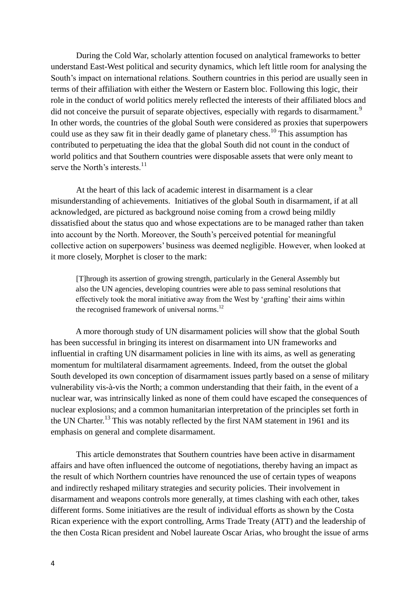During the Cold War, scholarly attention focused on analytical frameworks to better understand East-West political and security dynamics, which left little room for analysing the South's impact on international relations. Southern countries in this period are usually seen in terms of their affiliation with either the Western or Eastern bloc. Following this logic, their role in the conduct of world politics merely reflected the interests of their affiliated blocs and did not conceive the pursuit of separate objectives, especially with regards to disarmament.<sup>9</sup> In other words, the countries of the global South were considered as proxies that superpowers could use as they saw fit in their deadly game of planetary chess.<sup>10</sup> This assumption has contributed to perpetuating the idea that the global South did not count in the conduct of world politics and that Southern countries were disposable assets that were only meant to serve the North's interests. $^{11}$ 

At the heart of this lack of academic interest in disarmament is a clear misunderstanding of achievements. Initiatives of the global South in disarmament, if at all acknowledged, are pictured as background noise coming from a crowd being mildly dissatisfied about the status quo and whose expectations are to be managed rather than taken into account by the North. Moreover, the South's perceived potential for meaningful collective action on superpowers' business was deemed negligible. However, when looked at it more closely, Morphet is closer to the mark:

[T]hrough its assertion of growing strength, particularly in the General Assembly but also the UN agencies, developing countries were able to pass seminal resolutions that effectively took the moral initiative away from the West by ‗grafting' their aims within the recognised framework of universal norms.<sup>12</sup>

A more thorough study of UN disarmament policies will show that the global South has been successful in bringing its interest on disarmament into UN frameworks and influential in crafting UN disarmament policies in line with its aims, as well as generating momentum for multilateral disarmament agreements. Indeed, from the outset the global South developed its own conception of disarmament issues partly based on a sense of military vulnerability vis-à-vis the North; a common understanding that their faith, in the event of a nuclear war, was intrinsically linked as none of them could have escaped the consequences of nuclear explosions; and a common humanitarian interpretation of the principles set forth in the UN Charter.<sup>13</sup> This was notably reflected by the first NAM statement in 1961 and its emphasis on general and complete disarmament.

This article demonstrates that Southern countries have been active in disarmament affairs and have often influenced the outcome of negotiations, thereby having an impact as the result of which Northern countries have renounced the use of certain types of weapons and indirectly reshaped military strategies and security policies. Their involvement in disarmament and weapons controls more generally, at times clashing with each other, takes different forms. Some initiatives are the result of individual efforts as shown by the Costa Rican experience with the export controlling, Arms Trade Treaty (ATT) and the leadership of the then Costa Rican president and Nobel laureate Oscar Arias, who brought the issue of arms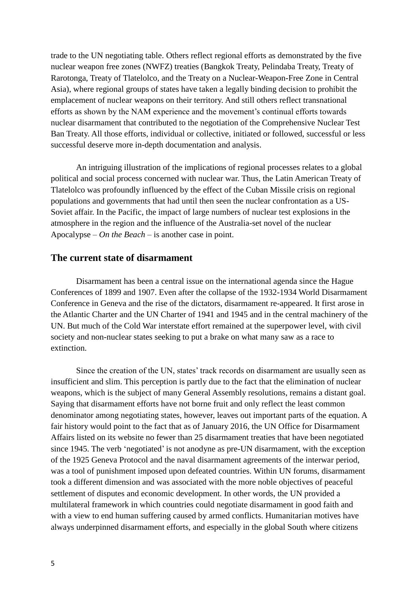trade to the UN negotiating table. Others reflect regional efforts as demonstrated by the five nuclear weapon free zones (NWFZ) treaties (Bangkok Treaty, Pelindaba Treaty, Treaty of Rarotonga, Treaty of Tlatelolco, and the Treaty on a Nuclear-Weapon-Free Zone in Central Asia), where regional groups of states have taken a legally binding decision to prohibit the emplacement of nuclear weapons on their territory. And still others reflect transnational efforts as shown by the NAM experience and the movement's continual efforts towards nuclear disarmament that contributed to the negotiation of the Comprehensive Nuclear Test Ban Treaty. All those efforts, individual or collective, initiated or followed, successful or less successful deserve more in-depth documentation and analysis.

An intriguing illustration of the implications of regional processes relates to a global political and social process concerned with nuclear war. Thus, the Latin American Treaty of Tlatelolco was profoundly influenced by the effect of the Cuban Missile crisis on regional populations and governments that had until then seen the nuclear confrontation as a US-Soviet affair. In the Pacific, the impact of large numbers of nuclear test explosions in the atmosphere in the region and the influence of the Australia-set novel of the nuclear Apocalypse – *On the Beach* – is another case in point.

### **The current state of disarmament**

Disarmament has been a central issue on the international agenda since the Hague Conferences of 1899 and 1907. Even after the collapse of the 1932-1934 World Disarmament Conference in Geneva and the rise of the dictators, disarmament re-appeared. It first arose in the Atlantic Charter and the UN Charter of 1941 and 1945 and in the central machinery of the UN. But much of the Cold War interstate effort remained at the superpower level, with civil society and non-nuclear states seeking to put a brake on what many saw as a race to extinction.

Since the creation of the UN, states' track records on disarmament are usually seen as insufficient and slim. This perception is partly due to the fact that the elimination of nuclear weapons, which is the subject of many General Assembly resolutions, remains a distant goal. Saying that disarmament efforts have not borne fruit and only reflect the least common denominator among negotiating states, however, leaves out important parts of the equation. A fair history would point to the fact that as of January 2016, the UN Office for Disarmament Affairs listed on its website no fewer than 25 disarmament treaties that have been negotiated since 1945. The verb 'negotiated' is not anodyne as pre-UN disarmament, with the exception of the 1925 Geneva Protocol and the naval disarmament agreements of the interwar period, was a tool of punishment imposed upon defeated countries. Within UN forums, disarmament took a different dimension and was associated with the more noble objectives of peaceful settlement of disputes and economic development. In other words, the UN provided a multilateral framework in which countries could negotiate disarmament in good faith and with a view to end human suffering caused by armed conflicts. Humanitarian motives have always underpinned disarmament efforts, and especially in the global South where citizens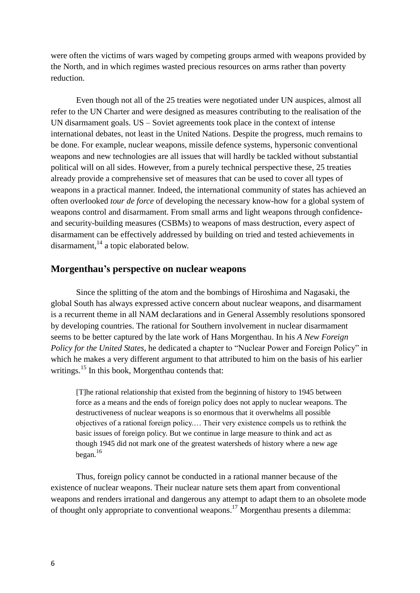were often the victims of wars waged by competing groups armed with weapons provided by the North, and in which regimes wasted precious resources on arms rather than poverty reduction.

Even though not all of the 25 treaties were negotiated under UN auspices, almost all refer to the UN Charter and were designed as measures contributing to the realisation of the UN disarmament goals. US – Soviet agreements took place in the context of intense international debates, not least in the United Nations. Despite the progress, much remains to be done. For example, nuclear weapons, missile defence systems, hypersonic conventional weapons and new technologies are all issues that will hardly be tackled without substantial political will on all sides. However, from a purely technical perspective these, 25 treaties already provide a comprehensive set of measures that can be used to cover all types of weapons in a practical manner. Indeed, the international community of states has achieved an often overlooked *tour de force* of developing the necessary know-how for a global system of weapons control and disarmament. From small arms and light weapons through confidenceand security-building measures (CSBMs) to weapons of mass destruction, every aspect of disarmament can be effectively addressed by building on tried and tested achievements in disarmament, <sup>14</sup> a topic elaborated below.

## **Morgenthau's perspective on nuclear weapons**

Since the splitting of the atom and the bombings of Hiroshima and Nagasaki, the global South has always expressed active concern about nuclear weapons, and disarmament is a recurrent theme in all NAM declarations and in General Assembly resolutions sponsored by developing countries. The rational for Southern involvement in nuclear disarmament seems to be better captured by the late work of Hans Morgenthau. In his *A New Foreign Policy for the United States*, he dedicated a chapter to "Nuclear Power and Foreign Policy" in which he makes a very different argument to that attributed to him on the basis of his earlier writings.<sup>15</sup> In this book, Morgenthau contends that:

[T]he rational relationship that existed from the beginning of history to 1945 between force as a means and the ends of foreign policy does not apply to nuclear weapons. The destructiveness of nuclear weapons is so enormous that it overwhelms all possible objectives of a rational foreign policy.… Their very existence compels us to rethink the basic issues of foreign policy. But we continue in large measure to think and act as though 1945 did not mark one of the greatest watersheds of history where a new age began. 16

Thus, foreign policy cannot be conducted in a rational manner because of the existence of nuclear weapons. Their nuclear nature sets them apart from conventional weapons and renders irrational and dangerous any attempt to adapt them to an obsolete mode of thought only appropriate to conventional weapons.<sup>17</sup> Morgenthau presents a dilemma: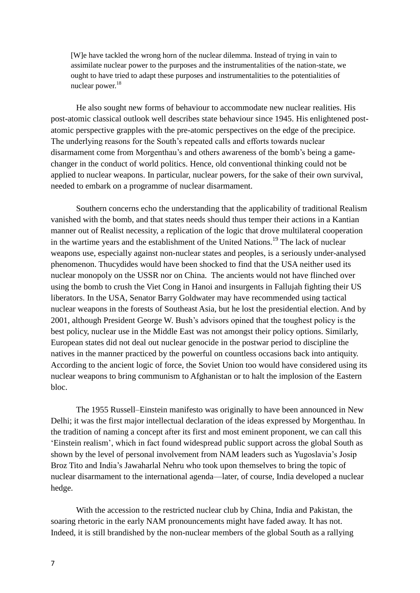[W]e have tackled the wrong horn of the nuclear dilemma. Instead of trying in vain to assimilate nuclear power to the purposes and the instrumentalities of the nation-state, we ought to have tried to adapt these purposes and instrumentalities to the potentialities of nuclear power.<sup>18</sup>

He also sought new forms of behaviour to accommodate new nuclear realities. His post-atomic classical outlook well describes state behaviour since 1945. His enlightened postatomic perspective grapples with the pre-atomic perspectives on the edge of the precipice. The underlying reasons for the South's repeated calls and efforts towards nuclear disarmament come from Morgenthau's and others awareness of the bomb's being a gamechanger in the conduct of world politics. Hence, old conventional thinking could not be applied to nuclear weapons. In particular, nuclear powers, for the sake of their own survival, needed to embark on a programme of nuclear disarmament.

Southern concerns echo the understanding that the applicability of traditional Realism vanished with the bomb, and that states needs should thus temper their actions in a Kantian manner out of Realist necessity, a replication of the logic that drove multilateral cooperation in the wartime years and the establishment of the United Nations.<sup>19</sup> The lack of nuclear weapons use, especially against non-nuclear states and peoples, is a seriously under-analysed phenomenon. Thucydides would have been shocked to find that the USA neither used its nuclear monopoly on the USSR nor on China. The ancients would not have flinched over using the bomb to crush the Viet Cong in Hanoi and insurgents in Fallujah fighting their US liberators. In the USA, Senator Barry Goldwater may have recommended using tactical nuclear weapons in the forests of Southeast Asia, but he lost the presidential election. And by 2001, although President George W. Bush's advisors opined that the toughest policy is the best policy, nuclear use in the Middle East was not amongst their policy options. Similarly, European states did not deal out nuclear genocide in the postwar period to discipline the natives in the manner practiced by the powerful on countless occasions back into antiquity. According to the ancient logic of force, the Soviet Union too would have considered using its nuclear weapons to bring communism to Afghanistan or to halt the implosion of the Eastern bloc.

The 1955 Russell–Einstein manifesto was originally to have been announced in New Delhi; it was the first major intellectual declaration of the ideas expressed by Morgenthau. In the tradition of naming a concept after its first and most eminent proponent, we can call this ‗Einstein realism', which in fact found widespread public support across the global South as shown by the level of personal involvement from NAM leaders such as Yugoslavia's Josip Broz Tito and India's Jawaharlal Nehru who took upon themselves to bring the topic of nuclear disarmament to the international agenda—later, of course, India developed a nuclear hedge.

With the accession to the restricted nuclear club by China, India and Pakistan, the soaring rhetoric in the early NAM pronouncements might have faded away. It has not. Indeed, it is still brandished by the non-nuclear members of the global South as a rallying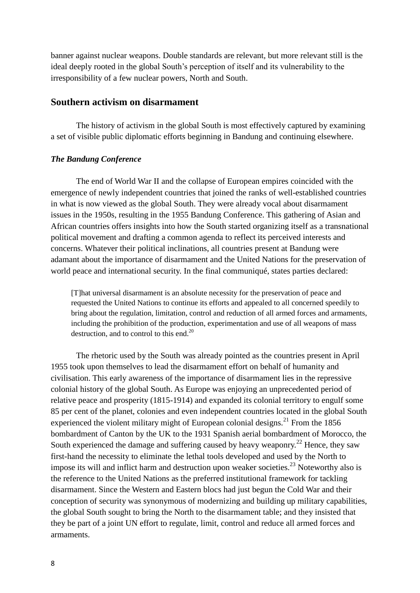banner against nuclear weapons. Double standards are relevant, but more relevant still is the ideal deeply rooted in the global South's perception of itself and its vulnerability to the irresponsibility of a few nuclear powers, North and South.

## **Southern activism on disarmament**

The history of activism in the global South is most effectively captured by examining a set of visible public diplomatic efforts beginning in Bandung and continuing elsewhere.

#### *The Bandung Conference*

The end of World War II and the collapse of European empires coincided with the emergence of newly independent countries that joined the ranks of well-established countries in what is now viewed as the global South. They were already vocal about disarmament issues in the 1950s, resulting in the 1955 Bandung Conference. This gathering of Asian and African countries offers insights into how the South started organizing itself as a transnational political movement and drafting a common agenda to reflect its perceived interests and concerns. Whatever their political inclinations, all countries present at Bandung were adamant about the importance of disarmament and the United Nations for the preservation of world peace and international security. In the final communiqué, states parties declared:

[T]hat universal disarmament is an absolute necessity for the preservation of peace and requested the United Nations to continue its efforts and appealed to all concerned speedily to bring about the regulation, limitation, control and reduction of all armed forces and armaments, including the prohibition of the production, experimentation and use of all weapons of mass destruction, and to control to this end.<sup>20</sup>

The rhetoric used by the South was already pointed as the countries present in April 1955 took upon themselves to lead the disarmament effort on behalf of humanity and civilisation. This early awareness of the importance of disarmament lies in the repressive colonial history of the global South. As Europe was enjoying an unprecedented period of relative peace and prosperity (1815-1914) and expanded its colonial territory to engulf some 85 per cent of the planet, colonies and even independent countries located in the global South experienced the violent military might of European colonial designs.<sup>21</sup> From the 1856 bombardment of Canton by the UK to the 1931 Spanish aerial bombardment of Morocco, the South experienced the damage and suffering caused by heavy weaponry.<sup>22</sup> Hence, they saw first-hand the necessity to eliminate the lethal tools developed and used by the North to impose its will and inflict harm and destruction upon weaker societies. $^{23}$  Noteworthy also is the reference to the United Nations as the preferred institutional framework for tackling disarmament. Since the Western and Eastern blocs had just begun the Cold War and their conception of security was synonymous of modernizing and building up military capabilities, the global South sought to bring the North to the disarmament table; and they insisted that they be part of a joint UN effort to regulate, limit, control and reduce all armed forces and armaments.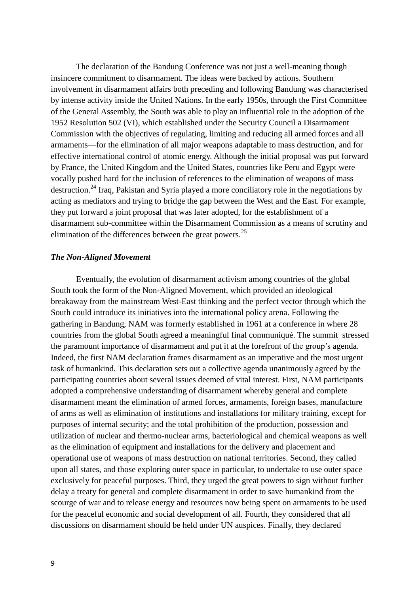The declaration of the Bandung Conference was not just a well-meaning though insincere commitment to disarmament. The ideas were backed by actions. Southern involvement in disarmament affairs both preceding and following Bandung was characterised by intense activity inside the United Nations. In the early 1950s, through the First Committee of the General Assembly, the South was able to play an influential role in the adoption of the 1952 Resolution 502 (VI), which established under the Security Council a Disarmament Commission with the objectives of regulating, limiting and reducing all armed forces and all armaments—for the elimination of all major weapons adaptable to mass destruction, and for effective international control of atomic energy. Although the initial proposal was put forward by France, the United Kingdom and the United States, countries like Peru and Egypt were vocally pushed hard for the inclusion of references to the elimination of weapons of mass destruction.<sup>24</sup> Iraq, Pakistan and Syria played a more conciliatory role in the negotiations by acting as mediators and trying to bridge the gap between the West and the East. For example, they put forward a joint proposal that was later adopted, for the establishment of a disarmament sub-committee within the Disarmament Commission as a means of scrutiny and elimination of the differences between the great powers. $25$ 

#### *The Non-Aligned Movement*

Eventually, the evolution of disarmament activism among countries of the global South took the form of the Non-Aligned Movement, which provided an ideological breakaway from the mainstream West-East thinking and the perfect vector through which the South could introduce its initiatives into the international policy arena. Following the gathering in Bandung, NAM was formerly established in 1961 at a conference in where 28 countries from the global South agreed a meaningful final communiqué. The summit stressed the paramount importance of disarmament and put it at the forefront of the group's agenda. Indeed, the first NAM declaration frames disarmament as an imperative and the most urgent task of humankind*.* This declaration sets out a collective agenda unanimously agreed by the participating countries about several issues deemed of vital interest. First, NAM participants adopted a comprehensive understanding of disarmament whereby general and complete disarmament meant the elimination of armed forces, armaments, foreign bases, manufacture of arms as well as elimination of institutions and installations for military training, except for purposes of internal security; and the total prohibition of the production, possession and utilization of nuclear and thermo-nuclear arms, bacteriological and chemical weapons as well as the elimination of equipment and installations for the delivery and placement and operational use of weapons of mass destruction on national territories. Second, they called upon all states, and those exploring outer space in particular, to undertake to use outer space exclusively for peaceful purposes. Third, they urged the great powers to sign without further delay a treaty for general and complete disarmament in order to save humankind from the scourge of war and to release energy and resources now being spent on armaments to be used for the peaceful economic and social development of all. Fourth, they considered that all discussions on disarmament should be held under UN auspices. Finally, they declared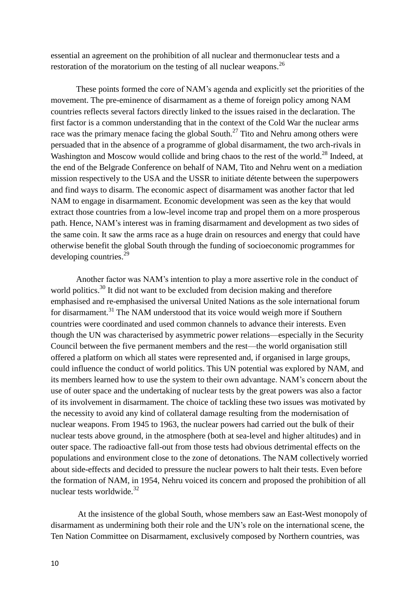essential an agreement on the prohibition of all nuclear and thermonuclear tests and a restoration of the moratorium on the testing of all nuclear weapons.<sup>26</sup>

These points formed the core of NAM's agenda and explicitly set the priorities of the movement. The pre-eminence of disarmament as a theme of foreign policy among NAM countries reflects several factors directly linked to the issues raised in the declaration. The first factor is a common understanding that in the context of the Cold War the nuclear arms race was the primary menace facing the global South.<sup>27</sup> Tito and Nehru among others were persuaded that in the absence of a programme of global disarmament, the two arch-rivals in Washington and Moscow would collide and bring chaos to the rest of the world.<sup>28</sup> Indeed, at the end of the Belgrade Conference on behalf of NAM, Tito and Nehru went on a mediation mission respectively to the USA and the USSR to initiate détente between the superpowers and find ways to disarm. The economic aspect of disarmament was another factor that led NAM to engage in disarmament. Economic development was seen as the key that would extract those countries from a low-level income trap and propel them on a more prosperous path. Hence, NAM's interest was in framing disarmament and development as two sides of the same coin. It saw the arms race as a huge drain on resources and energy that could have otherwise benefit the global South through the funding of socioeconomic programmes for developing countries.<sup>29</sup>

Another factor was NAM's intention to play a more assertive role in the conduct of world politics.<sup>30</sup> It did not want to be excluded from decision making and therefore emphasised and re-emphasised the universal United Nations as the sole international forum for disarmament.<sup>31</sup> The NAM understood that its voice would weigh more if Southern countries were coordinated and used common channels to advance their interests. Even though the UN was characterised by asymmetric power relations—especially in the Security Council between the five permanent members and the rest—the world organisation still offered a platform on which all states were represented and, if organised in large groups, could influence the conduct of world politics. This UN potential was explored by NAM, and its members learned how to use the system to their own advantage. NAM's concern about the use of outer space and the undertaking of nuclear tests by the great powers was also a factor of its involvement in disarmament. The choice of tackling these two issues was motivated by the necessity to avoid any kind of collateral damage resulting from the modernisation of nuclear weapons. From 1945 to 1963, the nuclear powers had carried out the bulk of their nuclear tests above ground, in the atmosphere (both at sea-level and higher altitudes) and in outer space. The radioactive fall-out from those tests had obvious detrimental effects on the populations and environment close to the zone of detonations. The NAM collectively worried about side-effects and decided to pressure the nuclear powers to halt their tests. Even before the formation of NAM, in 1954, Nehru voiced its concern and proposed the prohibition of all nuclear tests worldwide. $32$ 

At the insistence of the global South, whose members saw an East-West monopoly of disarmament as undermining both their role and the UN's role on the international scene, the Ten Nation Committee on Disarmament, exclusively composed by Northern countries, was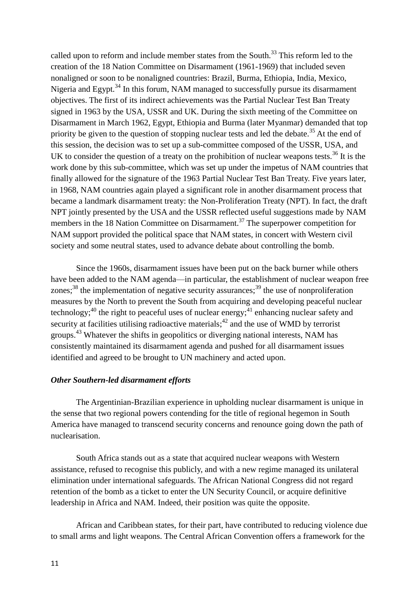called upon to reform and include member states from the South.<sup>33</sup> This reform led to the creation of the 18 Nation Committee on Disarmament (1961-1969) that included seven nonaligned or soon to be nonaligned countries: Brazil, Burma, Ethiopia, India, Mexico, Nigeria and Egypt.<sup>34</sup> In this forum, NAM managed to successfully pursue its disarmament objectives. The first of its indirect achievements was the Partial Nuclear Test Ban Treaty signed in 1963 by the USA, USSR and UK. During the sixth meeting of the Committee on Disarmament in March 1962, Egypt, Ethiopia and Burma (later Myanmar) demanded that top priority be given to the question of stopping nuclear tests and led the debate.<sup>35</sup> At the end of this session, the decision was to set up a sub-committee composed of the USSR, USA, and UK to consider the question of a treaty on the prohibition of nuclear weapons tests.<sup>36</sup> It is the work done by this sub-committee, which was set up under the impetus of NAM countries that finally allowed for the signature of the 1963 Partial Nuclear Test Ban Treaty. Five years later, in 1968, NAM countries again played a significant role in another disarmament process that became a landmark disarmament treaty: the Non-Proliferation Treaty (NPT). In fact, the draft NPT jointly presented by the USA and the USSR reflected useful suggestions made by NAM members in the 18 Nation Committee on Disarmament.<sup>37</sup> The superpower competition for NAM support provided the political space that NAM states, in concert with Western civil society and some neutral states, used to advance debate about controlling the bomb.

Since the 1960s, disarmament issues have been put on the back burner while others have been added to the NAM agenda—in particular, the establishment of nuclear weapon free zones;<sup>38</sup> the implementation of negative security assurances;<sup>39</sup> the use of nonproliferation measures by the North to prevent the South from acquiring and developing peaceful nuclear technology;<sup>40</sup> the right to peaceful uses of nuclear energy;<sup>41</sup> enhancing nuclear safety and security at facilities utilising radioactive materials;<sup>42</sup> and the use of WMD by terrorist groups.<sup>43</sup> Whatever the shifts in geopolitics or diverging national interests, NAM has consistently maintained its disarmament agenda and pushed for all disarmament issues identified and agreed to be brought to UN machinery and acted upon.

#### *Other Southern-led disarmament efforts*

The Argentinian-Brazilian experience in upholding nuclear disarmament is unique in the sense that two regional powers contending for the title of regional hegemon in South America have managed to transcend security concerns and renounce going down the path of nuclearisation.

South Africa stands out as a state that acquired nuclear weapons with Western assistance, refused to recognise this publicly, and with a new regime managed its unilateral elimination under international safeguards. The African National Congress did not regard retention of the bomb as a ticket to enter the UN Security Council, or acquire definitive leadership in Africa and NAM. Indeed, their position was quite the opposite.

African and Caribbean states, for their part, have contributed to reducing violence due to small arms and light weapons. The Central African Convention offers a framework for the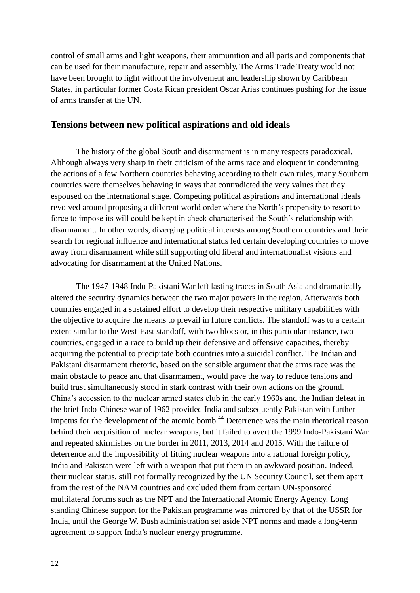control of small arms and light weapons, their ammunition and all parts and components that can be used for their manufacture, repair and assembly. The Arms Trade Treaty would not have been brought to light without the involvement and leadership shown by Caribbean States, in particular former Costa Rican president Oscar Arias continues pushing for the issue of arms transfer at the UN.

### **Tensions between new political aspirations and old ideals**

The history of the global South and disarmament is in many respects paradoxical. Although always very sharp in their criticism of the arms race and eloquent in condemning the actions of a few Northern countries behaving according to their own rules, many Southern countries were themselves behaving in ways that contradicted the very values that they espoused on the international stage. Competing political aspirations and international ideals revolved around proposing a different world order where the North's propensity to resort to force to impose its will could be kept in check characterised the South's relationship with disarmament. In other words, diverging political interests among Southern countries and their search for regional influence and international status led certain developing countries to move away from disarmament while still supporting old liberal and internationalist visions and advocating for disarmament at the United Nations.

The 1947-1948 Indo-Pakistani War left lasting traces in South Asia and dramatically altered the security dynamics between the two major powers in the region. Afterwards both countries engaged in a sustained effort to develop their respective military capabilities with the objective to acquire the means to prevail in future conflicts. The standoff was to a certain extent similar to the West-East standoff, with two blocs or, in this particular instance, two countries, engaged in a race to build up their defensive and offensive capacities, thereby acquiring the potential to precipitate both countries into a suicidal conflict. The Indian and Pakistani disarmament rhetoric, based on the sensible argument that the arms race was the main obstacle to peace and that disarmament, would pave the way to reduce tensions and build trust simultaneously stood in stark contrast with their own actions on the ground. China's accession to the nuclear armed states club in the early 1960s and the Indian defeat in the brief Indo-Chinese war of 1962 provided India and subsequently Pakistan with further impetus for the development of the atomic bomb.<sup>44</sup> Deterrence was the main rhetorical reason behind their acquisition of nuclear weapons, but it failed to avert the 1999 Indo-Pakistani War and repeated skirmishes on the border in 2011, 2013, 2014 and 2015. With the failure of deterrence and the impossibility of fitting nuclear weapons into a rational foreign policy, India and Pakistan were left with a weapon that put them in an awkward position. Indeed, their nuclear status, still not formally recognized by the UN Security Council, set them apart from the rest of the NAM countries and excluded them from certain UN-sponsored multilateral forums such as the NPT and the International Atomic Energy Agency. Long standing Chinese support for the Pakistan programme was mirrored by that of the USSR for India, until the George W. Bush administration set aside NPT norms and made a long-term agreement to support India's nuclear energy programme.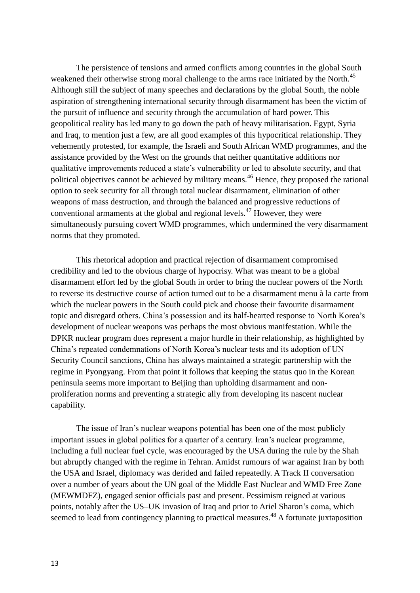The persistence of tensions and armed conflicts among countries in the global South weakened their otherwise strong moral challenge to the arms race initiated by the North.<sup>45</sup> Although still the subject of many speeches and declarations by the global South, the noble aspiration of strengthening international security through disarmament has been the victim of the pursuit of influence and security through the accumulation of hard power. This geopolitical reality has led many to go down the path of heavy militarisation. Egypt, Syria and Iraq, to mention just a few, are all good examples of this hypocritical relationship. They vehemently protested, for example, the Israeli and South African WMD programmes, and the assistance provided by the West on the grounds that neither quantitative additions nor qualitative improvements reduced a state's vulnerability or led to absolute security, and that political objectives cannot be achieved by military means.<sup>46</sup> Hence, they proposed the rational option to seek security for all through total nuclear disarmament, elimination of other weapons of mass destruction, and through the balanced and progressive reductions of conventional armaments at the global and regional levels.<sup>47</sup> However, they were simultaneously pursuing covert WMD programmes, which undermined the very disarmament norms that they promoted.

This rhetorical adoption and practical rejection of disarmament compromised credibility and led to the obvious charge of hypocrisy. What was meant to be a global disarmament effort led by the global South in order to bring the nuclear powers of the North to reverse its destructive course of action turned out to be a disarmament menu à la carte from which the nuclear powers in the South could pick and choose their favourite disarmament topic and disregard others. China's possession and its half-hearted response to North Korea's development of nuclear weapons was perhaps the most obvious manifestation. While the DPKR nuclear program does represent a major hurdle in their relationship, as highlighted by China's repeated condemnations of North Korea's nuclear tests and its adoption of UN Security Council sanctions, China has always maintained a strategic partnership with the regime in Pyongyang. From that point it follows that keeping the status quo in the Korean peninsula seems more important to Beijing than upholding disarmament and nonproliferation norms and preventing a strategic ally from developing its nascent nuclear capability.

The issue of Iran's nuclear weapons potential has been one of the most publicly important issues in global politics for a quarter of a century. Iran's nuclear programme, including a full nuclear fuel cycle, was encouraged by the USA during the rule by the Shah but abruptly changed with the regime in Tehran. Amidst rumours of war against Iran by both the USA and Israel, diplomacy was derided and failed repeatedly. A Track II conversation over a number of years about the UN goal of the Middle East Nuclear and WMD Free Zone (MEWMDFZ), engaged senior officials past and present. Pessimism reigned at various points, notably after the US–UK invasion of Iraq and prior to Ariel Sharon's coma, which seemed to lead from contingency planning to practical measures.<sup>48</sup> A fortunate juxtaposition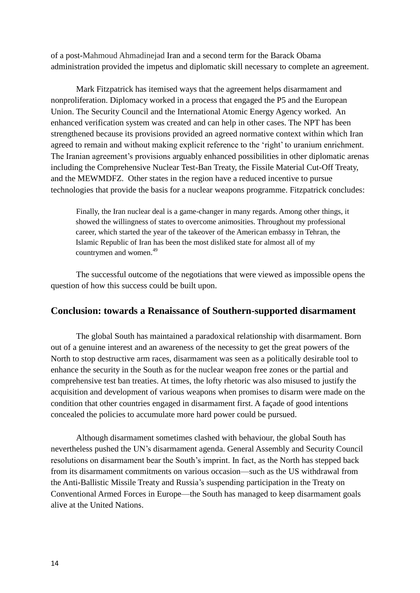of a post-Mahmoud Ahmadinejad Iran and a second term for the Barack Obama administration provided the impetus and diplomatic skill necessary to complete an agreement.

Mark Fitzpatrick has itemised ways that the agreement helps disarmament and nonproliferation. Diplomacy worked in a process that engaged the P5 and the European Union. The Security Council and the International Atomic Energy Agency worked. An enhanced verification system was created and can help in other cases. The NPT has been strengthened because its provisions provided an agreed normative context within which Iran agreed to remain and without making explicit reference to the 'right' to uranium enrichment. The Iranian agreement's provisions arguably enhanced possibilities in other diplomatic arenas including the Comprehensive Nuclear Test-Ban Treaty, the Fissile Material Cut-Off Treaty, and the MEWMDFZ. Other states in the region have a reduced incentive to pursue technologies that provide the basis for a nuclear weapons programme. Fitzpatrick concludes:

Finally, the Iran nuclear deal is a game-changer in many regards. Among other things, it showed the willingness of states to overcome animosities. Throughout my professional career, which started the year of the takeover of the American embassy in Tehran, the Islamic Republic of Iran has been the most disliked state for almost all of my countrymen and women.<sup>49</sup>

The successful outcome of the negotiations that were viewed as impossible opens the question of how this success could be built upon.

### **Conclusion: towards a Renaissance of Southern-supported disarmament**

The global South has maintained a paradoxical relationship with disarmament. Born out of a genuine interest and an awareness of the necessity to get the great powers of the North to stop destructive arm races, disarmament was seen as a politically desirable tool to enhance the security in the South as for the nuclear weapon free zones or the partial and comprehensive test ban treaties. At times, the lofty rhetoric was also misused to justify the acquisition and development of various weapons when promises to disarm were made on the condition that other countries engaged in disarmament first. A façade of good intentions concealed the policies to accumulate more hard power could be pursued.

Although disarmament sometimes clashed with behaviour, the global South has nevertheless pushed the UN's disarmament agenda. General Assembly and Security Council resolutions on disarmament bear the South's imprint. In fact, as the North has stepped back from its disarmament commitments on various occasion—such as the US withdrawal from the Anti-Ballistic Missile Treaty and Russia's suspending participation in the Treaty on Conventional Armed Forces in Europe—the South has managed to keep disarmament goals alive at the United Nations.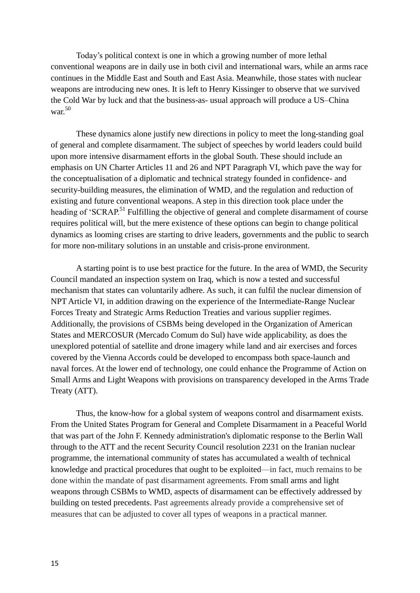Today's political context is one in which a growing number of more lethal conventional weapons are in daily use in both civil and international wars, while an arms race continues in the Middle East and South and East Asia. Meanwhile, those states with nuclear weapons are introducing new ones. It is left to Henry Kissinger to observe that we survived the Cold War by luck and that the business-as- usual approach will produce a US–China war. $50$ 

These dynamics alone justify new directions in policy to meet the long-standing goal of general and complete disarmament. The subject of speeches by world leaders could build upon more intensive disarmament efforts in the global South. These should include an emphasis on UN Charter Articles 11 and 26 and NPT Paragraph VI, which pave the way for the conceptualisation of a diplomatic and technical strategy founded in confidence- and security-building measures, the elimination of WMD, and the regulation and reduction of existing and future conventional weapons. A step in this direction took place under the heading of 'SCRAP.<sup>51</sup> Fulfilling the objective of general and complete disarmament of course requires political will, but the mere existence of these options can begin to change political dynamics as looming crises are starting to drive leaders, governments and the public to search for more non-military solutions in an unstable and crisis-prone environment.

A starting point is to use best practice for the future. In the area of WMD, the Security Council mandated an inspection system on Iraq, which is now a tested and successful mechanism that states can voluntarily adhere. As such, it can fulfil the nuclear dimension of NPT Article VI, in addition drawing on the experience of the Intermediate-Range Nuclear Forces Treaty and Strategic Arms Reduction Treaties and various supplier regimes. Additionally, the provisions of CSBMs being developed in the Organization of American States and MERCOSUR (Mercado Comum do Sul) have wide applicability, as does the unexplored potential of satellite and drone imagery while land and air exercises and forces covered by the Vienna Accords could be developed to encompass both space-launch and naval forces. At the lower end of technology, one could enhance the Programme of Action on Small Arms and Light Weapons with provisions on transparency developed in the Arms Trade Treaty (ATT).

Thus, the know-how for a global system of weapons control and disarmament exists. From the United States Program for General and Complete Disarmament in a Peaceful World that was part of the John F. Kennedy administration's diplomatic response to the Berlin Wall through to the ATT and the recent Security Council resolution 2231 on the Iranian nuclear programme, the international community of states has accumulated a wealth of technical knowledge and practical procedures that ought to be exploited—in fact, much remains to be done within the mandate of past disarmament agreements. From small arms and light weapons through CSBMs to WMD, aspects of disarmament can be effectively addressed by building on tested precedents. Past agreements already provide a comprehensive set of measures that can be adjusted to cover all types of weapons in a practical manner.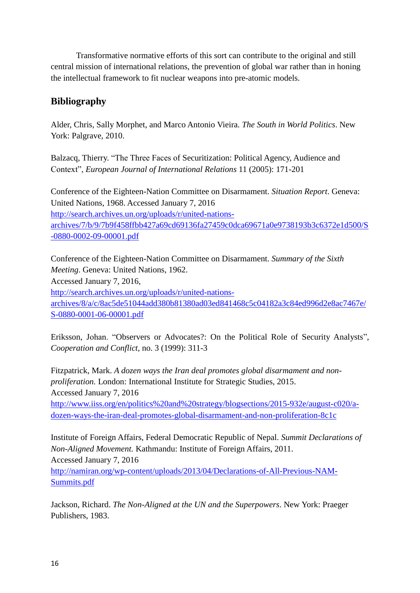Transformative normative efforts of this sort can contribute to the original and still central mission of international relations, the prevention of global war rather than in honing the intellectual framework to fit nuclear weapons into pre-atomic models.

## **Bibliography**

Alder, Chris, Sally Morphet, and Marco Antonio Vieira. *The South in World Politics*. New York: Palgrave, 2010.

Balzacq, Thierry. "The Three Faces of Securitization: Political Agency, Audience and Context‖, *European Journal of International Relations* 11 (2005): 171-201

Conference of the Eighteen-Nation Committee on Disarmament. *Situation Report*. Geneva: United Nations, 1968. Accessed January 7, 2016 [http://search.archives.un.org/uploads/r/united-nations](http://search.archives.un.org/uploads/r/united-nations-archives/7/b/9/7b9f458ffbb427a69cd69136fa27459c0dca69671a0e9738193b3c6372e1d500/S-0880-0002-09-00001.pdf)[archives/7/b/9/7b9f458ffbb427a69cd69136fa27459c0dca69671a0e9738193b3c6372e1d500/S](http://search.archives.un.org/uploads/r/united-nations-archives/7/b/9/7b9f458ffbb427a69cd69136fa27459c0dca69671a0e9738193b3c6372e1d500/S-0880-0002-09-00001.pdf) [-0880-0002-09-00001.pdf](http://search.archives.un.org/uploads/r/united-nations-archives/7/b/9/7b9f458ffbb427a69cd69136fa27459c0dca69671a0e9738193b3c6372e1d500/S-0880-0002-09-00001.pdf)

Conference of the Eighteen-Nation Committee on Disarmament. *Summary of the Sixth Meeting*. Geneva: United Nations, 1962. Accessed January 7, 2016, [http://search.archives.un.org/uploads/r/united-nations](http://search.archives.un.org/uploads/r/united-nations-archives/8/a/c/8ac5de51044add380b81380ad03ed841468c5c04182a3c84ed996d2e8ac7467e/S-0880-0001-06-00001.pdf)[archives/8/a/c/8ac5de51044add380b81380ad03ed841468c5c04182a3c84ed996d2e8ac7467e/](http://search.archives.un.org/uploads/r/united-nations-archives/8/a/c/8ac5de51044add380b81380ad03ed841468c5c04182a3c84ed996d2e8ac7467e/S-0880-0001-06-00001.pdf) [S-0880-0001-06-00001.pdf](http://search.archives.un.org/uploads/r/united-nations-archives/8/a/c/8ac5de51044add380b81380ad03ed841468c5c04182a3c84ed996d2e8ac7467e/S-0880-0001-06-00001.pdf)

Eriksson, Johan. "Observers or Advocates?: On the Political Role of Security Analysts", *Cooperation and Conflict,* no. 3 (1999): 311-3

Fitzpatrick, Mark. *A dozen ways the Iran deal promotes global disarmament and nonproliferation.* London: International Institute for Strategic Studies, 2015. Accessed January 7, 2016 [http://www.iiss.org/en/politics%20and%20strategy/blogsections/2015-932e/august-c020/a](http://www.iiss.org/en/politics%20and%20strategy/blogsections/2015-932e/august-c020/a-dozen-ways-the-iran-deal-promotes-global-disarmament-and-non-proliferation-8c1c)[dozen-ways-the-iran-deal-promotes-global-disarmament-and-non-proliferation-8c1c](http://www.iiss.org/en/politics%20and%20strategy/blogsections/2015-932e/august-c020/a-dozen-ways-the-iran-deal-promotes-global-disarmament-and-non-proliferation-8c1c)

Institute of Foreign Affairs, Federal Democratic Republic of Nepal. *Summit Declarations of Non-Aligned Movement.* Kathmandu: Institute of Foreign Affairs, 2011. Accessed January 7, 2016 [http://namiran.org/wp-content/uploads/2013/04/Declarations-of-All-Previous-NAM-](http://namiran.org/wp-content/uploads/2013/04/Declarations-of-All-Previous-NAM-Summits.pdf)[Summits.pdf](http://namiran.org/wp-content/uploads/2013/04/Declarations-of-All-Previous-NAM-Summits.pdf)

Jackson, Richard. *The Non-Aligned at the UN and the Superpowers*. New York: Praeger Publishers, 1983.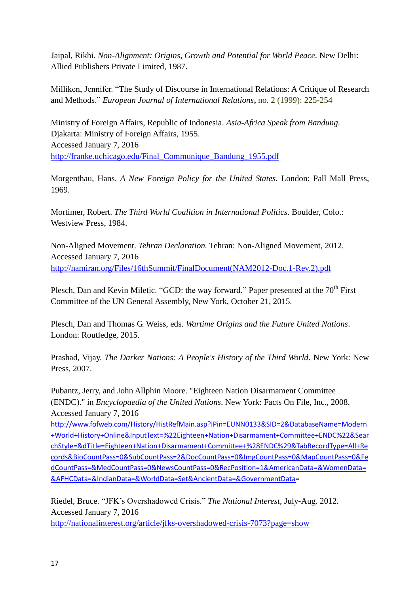Jaipal, Rikhi. *Non-Alignment: Origins, Growth and Potential for World Peace*. New Delhi: Allied Publishers Private Limited, 1987.

Milliken, Jennifer. "The Study of Discourse in International Relations: A Critique of Research and Methods.‖ *European Journal of International Relations***,** no. 2 (1999): 225-254

Ministry of Foreign Affairs, Republic of Indonesia. *Asia-Africa Speak from Bandung.* Djakarta: Ministry of Foreign Affairs, 1955. Accessed January 7, 2016 [http://franke.uchicago.edu/Final\\_Communique\\_Bandung\\_1955.pdf](http://franke.uchicago.edu/Final_Communique_Bandung_1955.pdf)

Morgenthau, Hans. *A New Foreign Policy for the United States*. London: Pall Mall Press, 1969.

Mortimer, Robert. *The Third World Coalition in International Politics*. Boulder, Colo.: Westview Press, 1984.

Non-Aligned Movement. *Tehran Declaration.* Tehran: Non-Aligned Movement, 2012. Accessed January 7, 2016 [http://namiran.org/Files/16thSummit/FinalDocument\(NAM2012-Doc.1-Rev.2\).pdf](http://namiran.org/Files/16thSummit/FinalDocument(NAM2012-Doc.1-Rev.2).pdf)

Plesch, Dan and Kevin Miletic. "GCD: the way forward." Paper presented at the 70<sup>th</sup> First Committee of the UN General Assembly, New York, October 21, 2015.

Plesch, Dan and Thomas G. Weiss, eds. *Wartime Origins and the Future United Nations*. London: Routledge, 2015.

Prashad, Vijay. *The Darker Nations: A People's History of the Third World.* New York: New Press, 2007.

Pubantz, Jerry, and John Allphin Moore. "Eighteen Nation Disarmament Committee (ENDC)." in *Encyclopaedia of the United Nations*. New York: Facts On File, Inc., 2008. Accessed January 7, 2016

[http://www.fofweb.com/History/HistRefMain.asp?iPin=EUNN0133&SID=2&DatabaseName=Modern](http://www.fofweb.com/History/HistRefMain.asp?iPin=EUNN0133&SID=2&DatabaseName=Modern+World+History+Online&InputText=%22Eighteen+Nation+Disarmament+Committee+ENDC%22&SearchStyle=&dTitle=Eighteen+Nation+Disarmament+Committee+%28ENDC%29&TabRecordType=All+Records&BioCountPass=0&SubCountPass=2&DocCountPass=0&ImgCountPass=0&MapCountPass=0&FedCountPass=&MedCountPass=0&NewsCountPass=0&RecPosition=1&AmericanData=&WomenData=&AFHCData=&IndianData=&WorldData=Set&AncientData=&GovernmentData) [+World+History+Online&InputText=%22Eighteen+Nation+Disarmament+Committee+ENDC%22&Sear](http://www.fofweb.com/History/HistRefMain.asp?iPin=EUNN0133&SID=2&DatabaseName=Modern+World+History+Online&InputText=%22Eighteen+Nation+Disarmament+Committee+ENDC%22&SearchStyle=&dTitle=Eighteen+Nation+Disarmament+Committee+%28ENDC%29&TabRecordType=All+Records&BioCountPass=0&SubCountPass=2&DocCountPass=0&ImgCountPass=0&MapCountPass=0&FedCountPass=&MedCountPass=0&NewsCountPass=0&RecPosition=1&AmericanData=&WomenData=&AFHCData=&IndianData=&WorldData=Set&AncientData=&GovernmentData) [chStyle=&dTitle=Eighteen+Nation+Disarmament+Committee+%28ENDC%29&TabRecordType=All+Re](http://www.fofweb.com/History/HistRefMain.asp?iPin=EUNN0133&SID=2&DatabaseName=Modern+World+History+Online&InputText=%22Eighteen+Nation+Disarmament+Committee+ENDC%22&SearchStyle=&dTitle=Eighteen+Nation+Disarmament+Committee+%28ENDC%29&TabRecordType=All+Records&BioCountPass=0&SubCountPass=2&DocCountPass=0&ImgCountPass=0&MapCountPass=0&FedCountPass=&MedCountPass=0&NewsCountPass=0&RecPosition=1&AmericanData=&WomenData=&AFHCData=&IndianData=&WorldData=Set&AncientData=&GovernmentData) [cords&BioCountPass=0&SubCountPass=2&DocCountPass=0&ImgCountPass=0&MapCountPass=0&Fe](http://www.fofweb.com/History/HistRefMain.asp?iPin=EUNN0133&SID=2&DatabaseName=Modern+World+History+Online&InputText=%22Eighteen+Nation+Disarmament+Committee+ENDC%22&SearchStyle=&dTitle=Eighteen+Nation+Disarmament+Committee+%28ENDC%29&TabRecordType=All+Records&BioCountPass=0&SubCountPass=2&DocCountPass=0&ImgCountPass=0&MapCountPass=0&FedCountPass=&MedCountPass=0&NewsCountPass=0&RecPosition=1&AmericanData=&WomenData=&AFHCData=&IndianData=&WorldData=Set&AncientData=&GovernmentData) [dCountPass=&MedCountPass=0&NewsCountPass=0&RecPosition=1&AmericanData=&WomenData=](http://www.fofweb.com/History/HistRefMain.asp?iPin=EUNN0133&SID=2&DatabaseName=Modern+World+History+Online&InputText=%22Eighteen+Nation+Disarmament+Committee+ENDC%22&SearchStyle=&dTitle=Eighteen+Nation+Disarmament+Committee+%28ENDC%29&TabRecordType=All+Records&BioCountPass=0&SubCountPass=2&DocCountPass=0&ImgCountPass=0&MapCountPass=0&FedCountPass=&MedCountPass=0&NewsCountPass=0&RecPosition=1&AmericanData=&WomenData=&AFHCData=&IndianData=&WorldData=Set&AncientData=&GovernmentData) [&AFHCData=&IndianData=&WorldData=Set&AncientData=&GovernmentData=](http://www.fofweb.com/History/HistRefMain.asp?iPin=EUNN0133&SID=2&DatabaseName=Modern+World+History+Online&InputText=%22Eighteen+Nation+Disarmament+Committee+ENDC%22&SearchStyle=&dTitle=Eighteen+Nation+Disarmament+Committee+%28ENDC%29&TabRecordType=All+Records&BioCountPass=0&SubCountPass=2&DocCountPass=0&ImgCountPass=0&MapCountPass=0&FedCountPass=&MedCountPass=0&NewsCountPass=0&RecPosition=1&AmericanData=&WomenData=&AFHCData=&IndianData=&WorldData=Set&AncientData=&GovernmentData)

Riedel, Bruce. ―JFK's Overshadowed Crisis.‖ *The National Interest*, July-Aug. 2012. Accessed January 7, 2016

<http://nationalinterest.org/article/jfks-overshadowed-crisis-7073?page=show>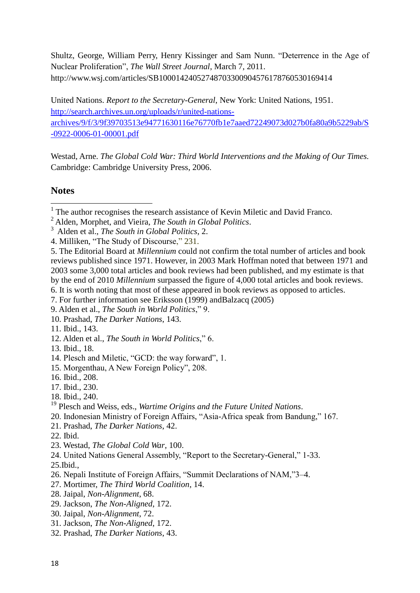Shultz, George, William Perry, Henry Kissinger and Sam Nunn. "Deterrence in the Age of Nuclear Proliferation‖, *The Wall Street Journal*, March 7, 2011. http://www.wsj.com/articles/SB10001424052748703300904576178760530169414

United Nations. *Report to the Secretary-General*, New York: United Nations, 1951. [http://search.archives.un.org/uploads/r/united-nations-](http://search.archives.un.org/uploads/r/united-nations-archives/9/f/3/9f39703513e94771630116e76770fb1e7aaed72249073d027b0fa80a9b5229ab/S-0922-0006-01-00001.pdf)

[archives/9/f/3/9f39703513e94771630116e76770fb1e7aaed72249073d027b0fa80a9b5229ab/S](http://search.archives.un.org/uploads/r/united-nations-archives/9/f/3/9f39703513e94771630116e76770fb1e7aaed72249073d027b0fa80a9b5229ab/S-0922-0006-01-00001.pdf) [-0922-0006-01-00001.pdf](http://search.archives.un.org/uploads/r/united-nations-archives/9/f/3/9f39703513e94771630116e76770fb1e7aaed72249073d027b0fa80a9b5229ab/S-0922-0006-01-00001.pdf)

Westad, Arne. *The Global Cold War: Third World Interventions and the Making of Our Times.*  Cambridge: Cambridge University Press, 2006.

## **Notes**

6. It is worth noting that most of these appeared in book reviews as opposed to articles.

13. Ibid., 18.

21. Prashad, *The Darker Nations*, 42.

- 23. Westad, *The Global Cold War*, 100.
- 24. United Nations General Assembly, "Report to the Secretary-General," 1-33.

25.Ibid.,

- 26. Nepali Institute of Foreign Affairs, "Summit Declarations of NAM,"3-4.
- 27. Mortimer, *The Third World Coalition*, 14.
- 28. Jaipal, *Non-Alignment*, 68.
- 29. Jackson, *The Non-Aligned*, 172.
- 30. Jaipal, *Non-Alignment*, 72.
- 31. Jackson, *The Non-Aligned*, 172.
- 32. Prashad, *The Darker Nations*, 43.

**<sup>.</sup>** <sup>1</sup> The author recognises the research assistance of Kevin Miletic and David Franco.

<sup>2</sup> Alden, Morphet, and Vieira, *The South in Global Politics*.

<sup>3</sup> Alden et al., *The South in Global Politics*, 2.

<sup>4.</sup> Milliken, "The Study of Discourse," 231.

<sup>5.</sup> The Editorial Board at *Millennium* could not confirm the total number of articles and book reviews published since 1971. However, in 2003 Mark Hoffman noted that between 1971 and 2003 some 3,000 total articles and book reviews had been published, and my estimate is that by the end of 2010 *Millennium* surpassed the figure of 4,000 total articles and book reviews.

<sup>7.</sup> For further information see Eriksson (1999) andBalzacq (2005)

<sup>9.</sup> Alden et al., *The South in World Politics*," 9.

<sup>10.</sup> Prashad, *The Darker Nations*, 143.

<sup>11.</sup> Ibid., 143.

<sup>12.</sup> Alden et al., *The South in World Politics*," 6.

<sup>14.</sup> Plesch and Miletic, "GCD: the way forward", 1.

<sup>15.</sup> Morgenthau, A New Foreign Policy", 208.

<sup>16.</sup> Ibid., 208.

<sup>17.</sup> Ibid., 230.

<sup>18.</sup> Ibid., 240.

<sup>19</sup> Plesch and Weiss, eds., *Wartime Origins and the Future United Nations*.

<sup>20.</sup> Indonesian Ministry of Foreign Affairs, "Asia-Africa speak from Bandung," 167.

<sup>22.</sup> Ibid.